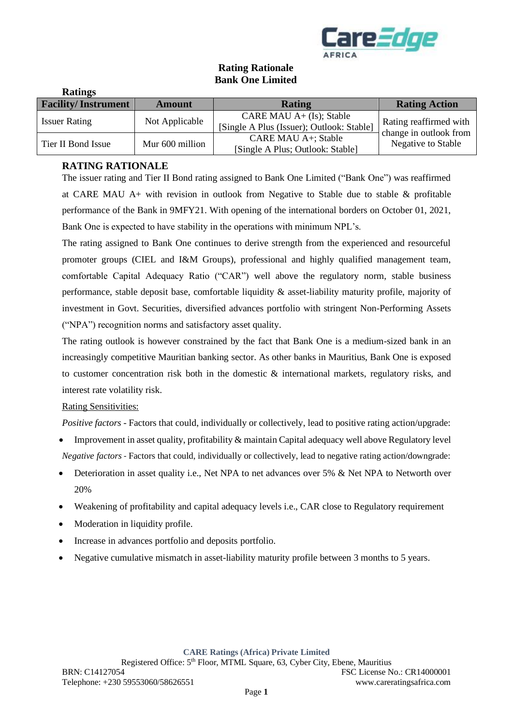

# **Rating Rationale Bank One Limited**

| Raumgs                     |                 |                                                                         |                                                  |
|----------------------------|-----------------|-------------------------------------------------------------------------|--------------------------------------------------|
| <b>Facility/Instrument</b> | <b>Amount</b>   | <b>Rating</b>                                                           | <b>Rating Action</b>                             |
| <b>Issuer Rating</b>       | Not Applicable  | CARE MAU $A+ (Is);$ Stable<br>[Single A Plus (Issuer); Outlook: Stable] | Rating reaffirmed with<br>change in outlook from |
| Tier II Bond Issue         | Mur 600 million | CARE MAU A+; Stable<br>[Single A Plus; Outlook: Stable]                 | Negative to Stable                               |

# **RATING RATIONALE**

**Ratings**

The issuer rating and Tier II Bond rating assigned to Bank One Limited ("Bank One") was reaffirmed at CARE MAU A+ with revision in outlook from Negative to Stable due to stable & profitable performance of the Bank in 9MFY21. With opening of the international borders on October 01, 2021, Bank One is expected to have stability in the operations with minimum NPL's.

The rating assigned to Bank One continues to derive strength from the experienced and resourceful promoter groups (CIEL and I&M Groups), professional and highly qualified management team, comfortable Capital Adequacy Ratio ("CAR") well above the regulatory norm, stable business performance, stable deposit base, comfortable liquidity & asset-liability maturity profile, majority of investment in Govt. Securities, diversified advances portfolio with stringent Non-Performing Assets ("NPA") recognition norms and satisfactory asset quality.

The rating outlook is however constrained by the fact that Bank One is a medium-sized bank in an increasingly competitive Mauritian banking sector. As other banks in Mauritius, Bank One is exposed to customer concentration risk both in the domestic  $\&$  international markets, regulatory risks, and interest rate volatility risk.

#### Rating Sensitivities:

*Positive factors* - Factors that could, individually or collectively, lead to positive rating action/upgrade:

- Improvement in asset quality, profitability & maintain Capital adequacy well above Regulatory level *Negative factors -* Factors that could, individually or collectively, lead to negative rating action/downgrade:
- Deterioration in asset quality i.e., Net NPA to net advances over 5% & Net NPA to Networth over 20%
- Weakening of profitability and capital adequacy levels i.e., CAR close to Regulatory requirement
- Moderation in liquidity profile.
- Increase in advances portfolio and deposits portfolio.
- Negative cumulative mismatch in asset-liability maturity profile between 3 months to 5 years.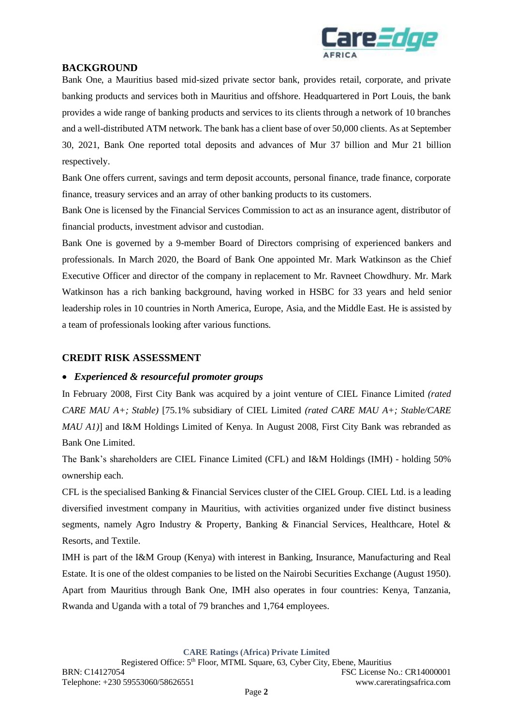

# **BACKGROUND**

Bank One, a Mauritius based mid-sized private sector bank, provides retail, corporate, and private banking products and services both in Mauritius and offshore. Headquartered in Port Louis, the bank provides a wide range of banking products and services to its clients through a network of 10 branches and a well-distributed ATM network. The bank has a client base of over 50,000 clients. As at September 30, 2021, Bank One reported total deposits and advances of Mur 37 billion and Mur 21 billion respectively.

Bank One offers current, savings and term deposit accounts, personal finance, trade finance, corporate finance, treasury services and an array of other banking products to its customers.

Bank One is licensed by the Financial Services Commission to act as an insurance agent, distributor of financial products, investment advisor and custodian.

Bank One is governed by a 9-member Board of Directors comprising of experienced bankers and professionals. In March 2020, the Board of Bank One appointed Mr. Mark Watkinson as the Chief Executive Officer and director of the company in replacement to Mr. Ravneet Chowdhury. Mr. Mark Watkinson has a rich banking background, having worked in HSBC for 33 years and held senior leadership roles in 10 countries in North America, Europe, Asia, and the Middle East. He is assisted by a team of professionals looking after various functions.

## **CREDIT RISK ASSESSMENT**

## • *Experienced & resourceful promoter groups*

In February 2008, First City Bank was acquired by a joint venture of CIEL Finance Limited *(rated CARE MAU A+; Stable)* [75.1% subsidiary of CIEL Limited *(rated CARE MAU A+; Stable/CARE MAU A1)*] and I&M Holdings Limited of Kenya. In August 2008, First City Bank was rebranded as Bank One Limited.

The Bank's shareholders are CIEL Finance Limited (CFL) and I&M Holdings (IMH) - holding 50% ownership each.

CFL is the specialised Banking & Financial Services cluster of the CIEL Group. CIEL Ltd. is a leading diversified investment company in Mauritius, with activities organized under five distinct business segments, namely Agro Industry & Property, Banking & Financial Services, Healthcare, Hotel & Resorts, and Textile.

IMH is part of the I&M Group (Kenya) with interest in Banking, Insurance, Manufacturing and Real Estate. It is one of the oldest companies to be listed on the Nairobi Securities Exchange (August 1950). Apart from Mauritius through Bank One, IMH also operates in four countries: Kenya, Tanzania, Rwanda and Uganda with a total of 79 branches and 1,764 employees.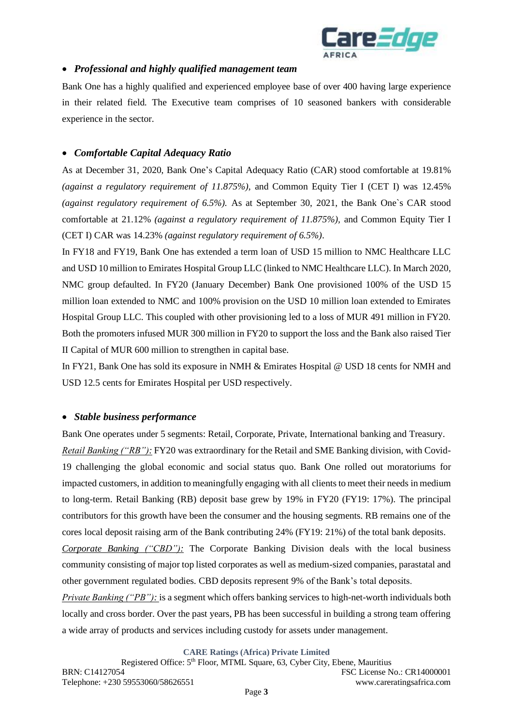

## • *Professional and highly qualified management team*

Bank One has a highly qualified and experienced employee base of over 400 having large experience in their related field. The Executive team comprises of 10 seasoned bankers with considerable experience in the sector.

### • *Comfortable Capital Adequacy Ratio*

As at December 31, 2020, Bank One's Capital Adequacy Ratio (CAR) stood comfortable at 19.81% *(against a regulatory requirement of 11.875%),* and Common Equity Tier I (CET I) was 12.45% *(against regulatory requirement of 6.5%).* As at September 30, 2021, the Bank One`s CAR stood comfortable at 21.12% *(against a regulatory requirement of 11.875%),* and Common Equity Tier I (CET I) CAR was 14.23% *(against regulatory requirement of 6.5%)*.

In FY18 and FY19, Bank One has extended a term loan of USD 15 million to NMC Healthcare LLC and USD 10 million to Emirates Hospital Group LLC (linked to NMC Healthcare LLC). In March 2020, NMC group defaulted. In FY20 (January December) Bank One provisioned 100% of the USD 15 million loan extended to NMC and 100% provision on the USD 10 million loan extended to Emirates Hospital Group LLC. This coupled with other provisioning led to a loss of MUR 491 million in FY20. Both the promoters infused MUR 300 million in FY20 to support the loss and the Bank also raised Tier II Capital of MUR 600 million to strengthen in capital base.

In FY21, Bank One has sold its exposure in NMH & Emirates Hospital @ USD 18 cents for NMH and USD 12.5 cents for Emirates Hospital per USD respectively.

#### • *Stable business performance*

Bank One operates under 5 segments: Retail, Corporate, Private, International banking and Treasury. *Retail Banking ("RB"):* FY20 was extraordinary for the Retail and SME Banking division, with Covid-19 challenging the global economic and social status quo. Bank One rolled out moratoriums for impacted customers, in addition to meaningfully engaging with all clients to meet their needs in medium to long-term. Retail Banking (RB) deposit base grew by 19% in FY20 (FY19: 17%). The principal contributors for this growth have been the consumer and the housing segments. RB remains one of the cores local deposit raising arm of the Bank contributing 24% (FY19: 21%) of the total bank deposits.

*Corporate Banking ("CBD"):* The Corporate Banking Division deals with the local business community consisting of major top listed corporates as well as medium-sized companies, parastatal and other government regulated bodies. CBD deposits represent 9% of the Bank's total deposits.

*Private Banking ("PB"):* is a segment which offers banking services to high-net-worth individuals both locally and cross border. Over the past years, PB has been successful in building a strong team offering a wide array of products and services including custody for assets under management.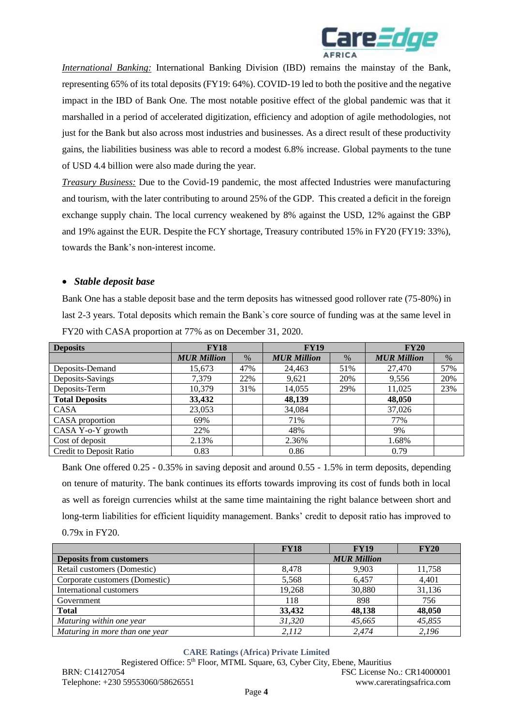

*International Banking:* International Banking Division *(IBD)* remains the mainstay of the Bank, representing 65% of its total deposits (FY19: 64%). COVID-19 led to both the positive and the negative impact in the IBD of Bank One. The most notable positive effect of the global pandemic was that it marshalled in a period of accelerated digitization, efficiency and adoption of agile methodologies, not just for the Bank but also across most industries and businesses. As a direct result of these productivity gains, the liabilities business was able to record a modest 6.8% increase. Global payments to the tune of USD 4.4 billion were also made during the year.

*Treasury Business:* Due to the Covid-19 pandemic, the most affected Industries were manufacturing and tourism, with the later contributing to around 25% of the GDP. This created a deficit in the foreign exchange supply chain. The local currency weakened by 8% against the USD, 12% against the GBP and 19% against the EUR. Despite the FCY shortage, Treasury contributed 15% in FY20 (FY19: 33%), towards the Bank's non-interest income.

## • *Stable deposit base*

Bank One has a stable deposit base and the term deposits has witnessed good rollover rate (75-80%) in last 2-3 years. Total deposits which remain the Bank`s core source of funding was at the same level in FY20 with CASA proportion at 77% as on December 31, 2020.

| <b>Deposits</b>         | <b>FY18</b>        |      | <b>FY19</b>        |      | <b>FY20</b>        |      |
|-------------------------|--------------------|------|--------------------|------|--------------------|------|
|                         | <b>MUR Million</b> | $\%$ | <b>MUR Million</b> | $\%$ | <b>MUR Million</b> | $\%$ |
| Deposits-Demand         | 15,673             | 47%  | 24,463             | 51%  | 27,470             | 57%  |
| Deposits-Savings        | 7,379              | 22%  | 9,621              | 20%  | 9,556              | 20%  |
| Deposits-Term           | 10.379             | 31%  | 14,055             | 29%  | 11,025             | 23%  |
| <b>Total Deposits</b>   | 33,432             |      | 48,139             |      | 48,050             |      |
| <b>CASA</b>             | 23,053             |      | 34,084             |      | 37,026             |      |
| CASA proportion         | 69%                |      | 71%                |      | 77%                |      |
| CASA Y-o-Y growth       | 22%                |      | 48%                |      | 9%                 |      |
| Cost of deposit         | 2.13%              |      | 2.36%              |      | 1.68%              |      |
| Credit to Deposit Ratio | 0.83               |      | 0.86               |      | 0.79               |      |

Bank One offered 0.25 - 0.35% in saving deposit and around 0.55 - 1.5% in term deposits, depending on tenure of maturity. The bank continues its efforts towards improving its cost of funds both in local as well as foreign currencies whilst at the same time maintaining the right balance between short and long-term liabilities for efficient liquidity management. Banks' credit to deposit ratio has improved to 0.79x in FY20.

|                                | <b>FY18</b>        | <b>FY19</b> | <b>FY20</b> |  |  |
|--------------------------------|--------------------|-------------|-------------|--|--|
| <b>Deposits from customers</b> | <b>MUR Million</b> |             |             |  |  |
| Retail customers (Domestic)    | 8,478              | 9,903       | 11,758      |  |  |
| Corporate customers (Domestic) | 5,568              | 6,457       | 4,401       |  |  |
| International customers        | 19,268             | 30,880      | 31,136      |  |  |
| Government                     | 118                | 898         | 756         |  |  |
| <b>Total</b>                   | 33,432             | 48,138      | 48,050      |  |  |
| Maturing within one year       | 31,320             | 45,665      | 45,855      |  |  |
| Maturing in more than one year | 2.112              | 2.474       | 2,196       |  |  |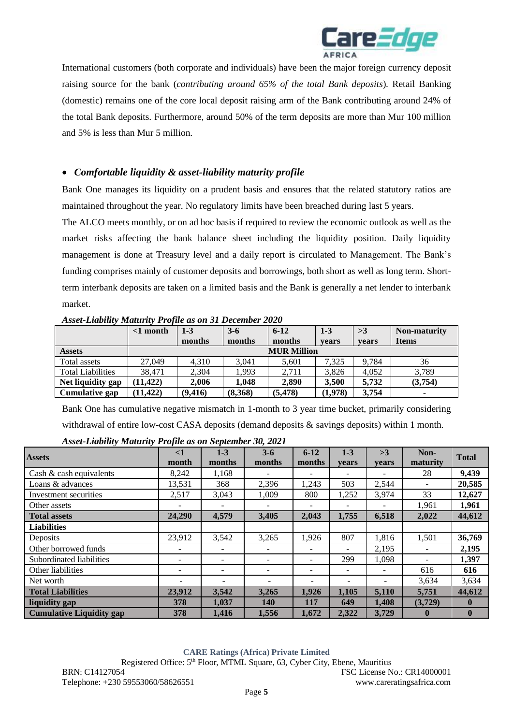

International customers (both corporate and individuals) have been the major foreign currency deposit raising source for the bank (*contributing around 65% of the total Bank deposits*). Retail Banking (domestic) remains one of the core local deposit raising arm of the Bank contributing around 24% of the total Bank deposits. Furthermore, around 50% of the term deposits are more than Mur 100 million and 5% is less than Mur 5 million.

# • *Comfortable liquidity & asset-liability maturity profile*

Bank One manages its liquidity on a prudent basis and ensures that the related statutory ratios are maintained throughout the year. No regulatory limits have been breached during last 5 years.

The ALCO meets monthly, or on ad hoc basis if required to review the economic outlook as well as the market risks affecting the bank balance sheet including the liquidity position. Daily liquidity management is done at Treasury level and a daily report is circulated to Management. The Bank's funding comprises mainly of customer deposits and borrowings, both short as well as long term. Shortterm interbank deposits are taken on a limited basis and the Bank is generally a net lender to interbank market.

|                          | $\leq 1$ month | $1 - 3$            | $3 - 6$ | $6-12$   | $1 - 3$ | >3    | Non-maturity |
|--------------------------|----------------|--------------------|---------|----------|---------|-------|--------------|
|                          |                | months             | months  | months   | vears   | vears | <b>Items</b> |
| <b>Assets</b>            |                | <b>MUR Million</b> |         |          |         |       |              |
| Total assets             | 27,049         | 4.310              | 3.041   | 5,601    | 7,325   | 9.784 | 36           |
| <b>Total Liabilities</b> | 38.471         | 2.304              | 1.993   | 2,711    | 3,826   | 4.052 | 3.789        |
| Net liquidity gap        | (11, 422)      | 2.006              | 1.048   | 2.890    | 3.500   | 5,732 | (3,754)      |
| Cumulative gap           | (11.422)       | (9, 416)           | (8,368) | (5, 478) | (1,978) | 3,754 | $\sim$       |

*Asset-Liability Maturity Profile as on 31 December 2020*

Bank One has cumulative negative mismatch in 1-month to 3 year time bucket, primarily considering withdrawal of entire low-cost CASA deposits (demand deposits & savings deposits) within 1 month.

| <b>Assets</b>                   | $\leq$ 1                 | $1-3$                    | $3 - 6$                  | $6 - 12$                 | $1-3$                    | >3    | Non-         | <b>Total</b> |
|---------------------------------|--------------------------|--------------------------|--------------------------|--------------------------|--------------------------|-------|--------------|--------------|
|                                 | month                    | months                   | months                   | months                   | vears                    | vears | maturity     |              |
| Cash & cash equivalents         | 8,242                    | 1,168                    |                          | $\overline{\phantom{0}}$ | $\overline{\phantom{a}}$ |       | 28           | 9,439        |
| Loans & advances                | 13,531                   | 368                      | 2,396                    | 1,243                    | 503                      | 2,544 |              | 20,585       |
| Investment securities           | 2,517                    | 3,043                    | 1.009                    | 800                      | 1,252                    | 3,974 | 33           | 12,627       |
| Other assets                    |                          |                          |                          | $\overline{\phantom{0}}$ |                          |       | 1,961        | 1,961        |
| <b>Total assets</b>             | 24,290                   | 4,579                    | 3,405                    | 2,043                    | 1,755                    | 6,518 | 2,022        | 44,612       |
| <b>Liabilities</b>              |                          |                          |                          |                          |                          |       |              |              |
| Deposits                        | 23,912                   | 3,542                    | 3,265                    | 1,926                    | 807                      | 1,816 | 1,501        | 36,769       |
| Other borrowed funds            | $\overline{\phantom{0}}$ | $\overline{\phantom{0}}$ | $\overline{\phantom{a}}$ | $\overline{\phantom{0}}$ | $\overline{\phantom{a}}$ | 2,195 |              | 2,195        |
| Subordinated liabilities        |                          |                          |                          | $\overline{\phantom{0}}$ | 299                      | 1,098 |              | 1,397        |
| Other liabilities               |                          | -                        | ۰.                       | ۰                        | $\overline{\phantom{a}}$ |       | 616          | 616          |
| Net worth                       |                          | -                        | $\overline{\phantom{0}}$ | -                        | -                        |       | 3,634        | 3,634        |
| <b>Total Liabilities</b>        | 23,912                   | 3,542                    | 3,265                    | 1,926                    | 1,105                    | 5,110 | 5,751        | 44,612       |
| liquidity gap                   | 378                      | 1,037                    | <b>140</b>               | 117                      | 649                      | 1,408 | (3,729)      | $\bf{0}$     |
| <b>Cumulative Liquidity gap</b> | 378                      | 1,416                    | 1,556                    | 1,672                    | 2,322                    | 3,729 | $\mathbf{0}$ | $\mathbf{0}$ |

*Asset-Liability Maturity Profile as on September 30, 2021*

**CARE Ratings (Africa) Private Limited**

Registered Office: 5th Floor, MTML Square, 63, Cyber City, Ebene, Mauritius BRN: C14127054 FSC License No.: CR14000001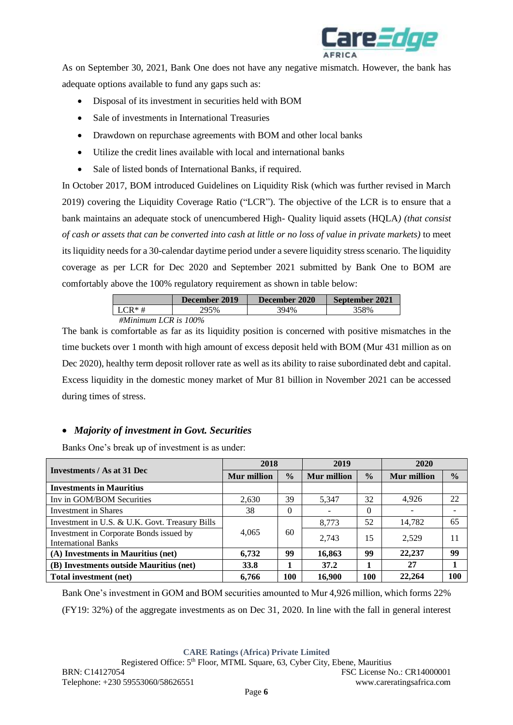

As on September 30, 2021, Bank One does not have any negative mismatch. However, the bank has adequate options available to fund any gaps such as:

- Disposal of its investment in securities held with BOM
- Sale of investments in International Treasuries
- Drawdown on repurchase agreements with BOM and other local banks
- Utilize the credit lines available with local and international banks
- Sale of listed bonds of International Banks, if required.

In October 2017, BOM introduced Guidelines on Liquidity Risk (which was further revised in March 2019) covering the Liquidity Coverage Ratio ("LCR"). The objective of the LCR is to ensure that a bank maintains an adequate stock of unencumbered High- Quality liquid assets (HQLA*) (that consist of cash or assets that can be converted into cash at little or no loss of value in private markets)* to meet its liquidity needs for a 30-calendar daytime period under a severe liquidity stress scenario. The liquidity coverage as per LCR for Dec 2020 and September 2021 submitted by Bank One to BOM are comfortably above the 100% regulatory requirement as shown in table below:

|                         | December 2019 | December 2020 | September 2021 |
|-------------------------|---------------|---------------|----------------|
| $LCR*#$                 | 295%          | 394%          | 358%           |
| #Minimum LCR is $100\%$ |               |               |                |

The bank is comfortable as far as its liquidity position is concerned with positive mismatches in the time buckets over 1 month with high amount of excess deposit held with BOM (Mur 431 million as on Dec 2020), healthy term deposit rollover rate as well as its ability to raise subordinated debt and capital. Excess liquidity in the domestic money market of Mur 81 billion in November 2021 can be accessed during times of stress.

# • *Majority of investment in Govt. Securities*

Banks One's break up of investment is as under:

|                                                                       | 2018               |               | 2019        |               | 2020               |               |
|-----------------------------------------------------------------------|--------------------|---------------|-------------|---------------|--------------------|---------------|
| Investments / As at 31 Dec                                            | <b>Mur</b> million | $\frac{0}{0}$ | Mur million | $\frac{0}{0}$ | <b>Mur</b> million | $\frac{0}{0}$ |
| <b>Investments in Mauritius</b>                                       |                    |               |             |               |                    |               |
| Inv in GOM/BOM Securities                                             | 2,630              | 39            | 5,347       | 32            | 4,926              | 22            |
| <b>Investment in Shares</b>                                           | 38                 | 0             |             | $\theta$      |                    |               |
| Investment in U.S. & U.K. Govt. Treasury Bills                        |                    |               | 8,773       | 52            | 14,782             | 65            |
| Investment in Corporate Bonds issued by<br><b>International Banks</b> | 4,065              | 60            | 2,743       | 15            | 2,529              | 11            |
| (A) Investments in Mauritius (net)                                    | 6,732              | 99            | 16,863      | 99            | 22,237             | 99            |
| (B) Investments outside Mauritius (net)                               | 33.8               |               | 37.2        |               | 27                 |               |
| Total investment (net)                                                | 6,766              | <b>100</b>    | 16,900      | 100           | 22,264             | 100           |

Bank One's investment in GOM and BOM securities amounted to Mur 4,926 million, which forms 22% (FY19: 32%) of the aggregate investments as on Dec 31, 2020. In line with the fall in general interest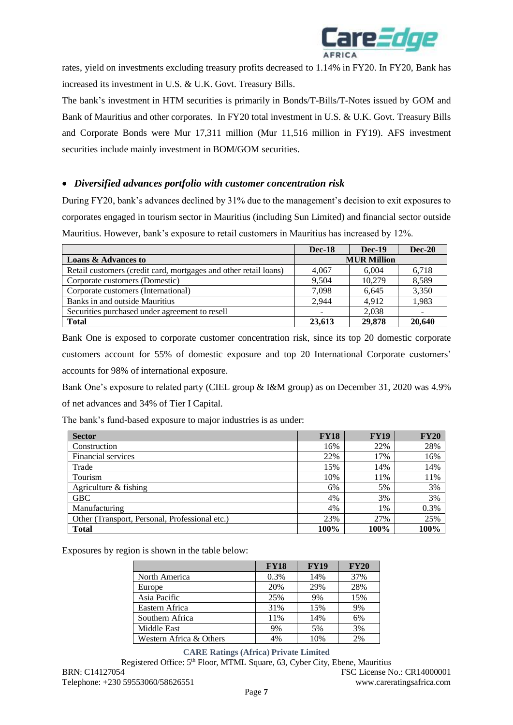

rates, yield on investments excluding treasury profits decreased to 1.14% in FY20. In FY20, Bank has increased its investment in U.S. & U.K. Govt. Treasury Bills.

The bank's investment in HTM securities is primarily in Bonds/T-Bills/T-Notes issued by GOM and Bank of Mauritius and other corporates. In FY20 total investment in U.S. & U.K. Govt. Treasury Bills and Corporate Bonds were Mur 17,311 million (Mur 11,516 million in FY19). AFS investment securities include mainly investment in BOM/GOM securities.

## • *Diversified advances portfolio with customer concentration risk*

During FY20, bank's advances declined by 31% due to the management's decision to exit exposures to corporates engaged in tourism sector in Mauritius (including Sun Limited) and financial sector outside Mauritius. However, bank's exposure to retail customers in Mauritius has increased by 12%.

|                                                                  | <b>Dec-18</b>      | <b>Dec-19</b> | <b>Dec-20</b> |  |
|------------------------------------------------------------------|--------------------|---------------|---------------|--|
| <b>Loans &amp; Advances to</b>                                   | <b>MUR Million</b> |               |               |  |
| Retail customers (credit card, mortgages and other retail loans) | 4.067              | 6.004         | 6,718         |  |
| Corporate customers (Domestic)                                   | 9.504              | 10.279        | 8,589         |  |
| Corporate customers (International)                              | 7.098              | 6.645         | 3,350         |  |
| Banks in and outside Mauritius                                   | 2.944              | 4.912         | 1,983         |  |
| Securities purchased under agreement to resell                   |                    | 2.038         |               |  |
| <b>Total</b>                                                     | 23,613             | 29,878        | 20,640        |  |

Bank One is exposed to corporate customer concentration risk, since its top 20 domestic corporate customers account for 55% of domestic exposure and top 20 International Corporate customers' accounts for 98% of international exposure.

Bank One's exposure to related party (CIEL group & I&M group) as on December 31, 2020 was 4.9% of net advances and 34% of Tier I Capital.

The bank's fund-based exposure to major industries is as under:

| <b>Sector</b>                                  | <b>FY18</b> | <b>FY19</b> | <b>FY20</b> |
|------------------------------------------------|-------------|-------------|-------------|
| Construction                                   | 16%         | 22%         | 28%         |
| Financial services                             | 22%         | 17%         | 16%         |
| Trade                                          | 15%         | 14%         | 14%         |
| Tourism                                        | 10%         | 11%         | 11%         |
| Agriculture & fishing                          | 6%          | 5%          | 3%          |
| <b>GBC</b>                                     | 4%          | 3%          | 3%          |
| Manufacturing                                  | 4%          | 1%          | 0.3%        |
| Other (Transport, Personal, Professional etc.) | 23%         | 27%         | 25%         |
| <b>Total</b>                                   | 100%        | 100%        | 100%        |

Exposures by region is shown in the table below:

|                         | <b>FY18</b> | <b>FY19</b> | <b>FY20</b> |
|-------------------------|-------------|-------------|-------------|
| North America           | 0.3%        | 14%         | 37%         |
| Europe                  | 20%         | 29%         | 28%         |
| Asia Pacific            | 25%         | 9%          | 15%         |
| Eastern Africa          | 31%         | 15%         | 9%          |
| Southern Africa         | 11%         | 14%         | 6%          |
| Middle East             | 9%          | 5%          | 3%          |
| Western Africa & Others | 4%          | 10%         | 2%          |

#### **CARE Ratings (Africa) Private Limited**

Registered Office: 5th Floor, MTML Square, 63, Cyber City, Ebene, Mauritius BRN: C14127054 FSC License No.: CR14000001 Telephone: +230 59553060/58626551 www.careratingsafrica.com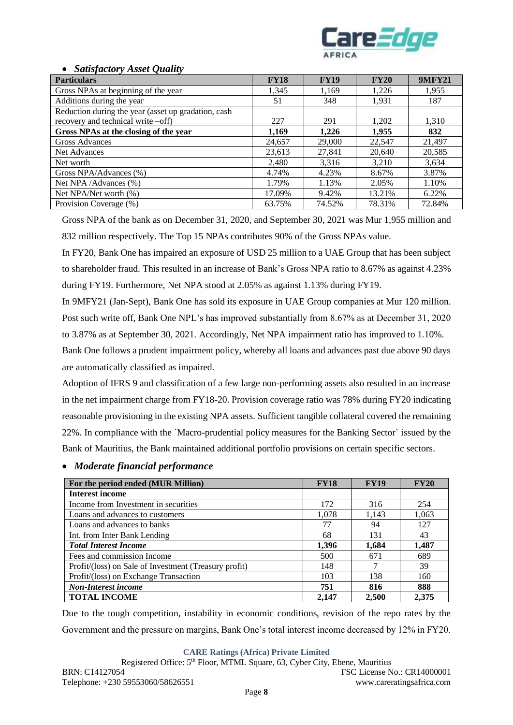

#### • *Satisfactory Asset Quality*

| <b>Particulars</b>                                  | <b>FY18</b> | <b>FY19</b> | <b>FY20</b> | <b>9MFY21</b> |
|-----------------------------------------------------|-------------|-------------|-------------|---------------|
| Gross NPAs at beginning of the year                 | 1,345       | 1,169       | 1,226       | 1,955         |
| Additions during the year                           | 51          | 348         | 1,931       | 187           |
| Reduction during the year (asset up gradation, cash |             |             |             |               |
| recovery and technical write -off)                  | 227         | 291         | 1,202       | 1,310         |
| Gross NPAs at the closing of the year               | 1,169       | 1,226       | 1,955       | 832           |
| Gross Advances                                      | 24,657      | 29,000      | 22,547      | 21,497        |
| Net Advances                                        | 23,613      | 27,841      | 20,640      | 20,585        |
| Net worth                                           | 2,480       | 3,316       | 3,210       | 3,634         |
| Gross NPA/Advances (%)                              | 4.74%       | 4.23%       | 8.67%       | 3.87%         |
| Net NPA/Advances (%)                                | 1.79%       | 1.13%       | 2.05%       | 1.10%         |
| Net NPA/Net worth (%)                               | 17.09%      | 9.42%       | 13.21%      | 6.22%         |
| Provision Coverage (%)                              | 63.75%      | 74.52%      | 78.31%      | 72.84%        |

Gross NPA of the bank as on December 31, 2020, and September 30, 2021 was Mur 1,955 million and 832 million respectively. The Top 15 NPAs contributes 90% of the Gross NPAs value.

In FY20, Bank One has impaired an exposure of USD 25 million to a UAE Group that has been subject to shareholder fraud. This resulted in an increase of Bank's Gross NPA ratio to 8.67% as against 4.23% during FY19. Furthermore, Net NPA stood at 2.05% as against 1.13% during FY19.

In 9MFY21 (Jan-Sept), Bank One has sold its exposure in UAE Group companies at Mur 120 million. Post such write off, Bank One NPL's has improved substantially from 8.67% as at December 31, 2020 to 3.87% as at September 30, 2021. Accordingly, Net NPA impairment ratio has improved to 1.10%.

Bank One follows a prudent impairment policy, whereby all loans and advances past due above 90 days are automatically classified as impaired.

Adoption of IFRS 9 and classification of a few large non-performing assets also resulted in an increase in the net impairment charge from FY18-20. Provision coverage ratio was 78% during FY20 indicating reasonable provisioning in the existing NPA assets. Sufficient tangible collateral covered the remaining 22%. In compliance with the `Macro-prudential policy measures for the Banking Sector` issued by the Bank of Mauritius, the Bank maintained additional portfolio provisions on certain specific sectors.

# • *Moderate financial performance*

| For the period ended (MUR Million)                    | <b>FY18</b> | <b>FY19</b> | <b>FY20</b> |
|-------------------------------------------------------|-------------|-------------|-------------|
| <b>Interest income</b>                                |             |             |             |
| Income from Investment in securities                  | 172         | 316         | 254         |
| Loans and advances to customers                       | 1,078       | 1,143       | 1,063       |
| Loans and advances to banks                           | 77          | 94          | 127         |
| Int. from Inter Bank Lending                          | 68          | 131         | 43          |
| <b>Total Interest Income</b>                          | 1,396       | 1.684       | 1,487       |
| Fees and commission Income                            | 500         | 671         | 689         |
| Profit/(loss) on Sale of Investment (Treasury profit) | 148         |             | 39          |
| Profit/(loss) on Exchange Transaction                 | 103         | 138         | 160         |
| <b>Non-Interest income</b>                            | 751         | 816         | 888         |
| <b>TOTAL INCOME</b>                                   | 2,147       | 2,500       | 2,375       |

Due to the tough competition, instability in economic conditions, revision of the repo rates by the Government and the pressure on margins, Bank One's total interest income decreased by 12% in FY20.

**CARE Ratings (Africa) Private Limited**

Registered Office: 5th Floor, MTML Square, 63, Cyber City, Ebene, Mauritius BRN: C14127054 FSC License No.: CR14000001 Telephone: +230 59553060/58626551 www.careratingsafrica.com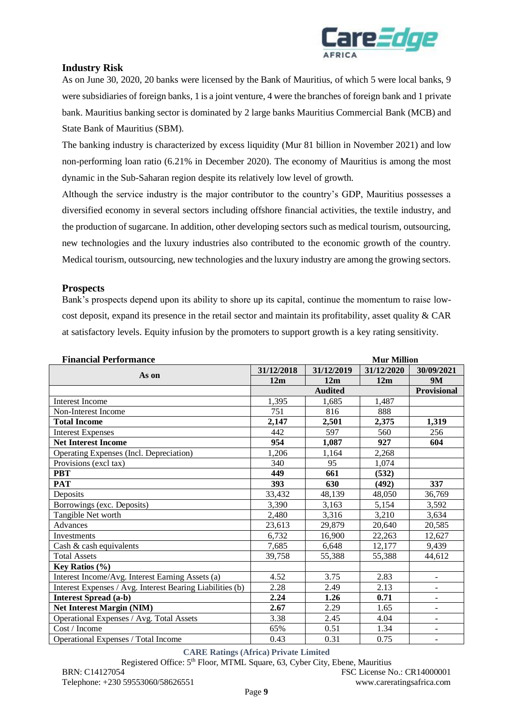

# **Industry Risk**

As on June 30, 2020, 20 banks were licensed by the Bank of Mauritius, of which 5 were local banks, 9 were subsidiaries of foreign banks, 1 is a joint venture, 4 were the branches of foreign bank and 1 private bank. Mauritius banking sector is dominated by 2 large banks Mauritius Commercial Bank (MCB) and State Bank of Mauritius (SBM).

The banking industry is characterized by excess liquidity (Mur 81 billion in November 2021) and low non-performing loan ratio (6.21% in December 2020). The economy of Mauritius is among the most dynamic in the Sub-Saharan region despite its relatively low level of growth.

Although the service industry is the major contributor to the country's GDP, Mauritius possesses a diversified economy in several sectors including offshore financial activities, the textile industry, and the production of sugarcane. In addition, other developing sectors such as medical tourism, outsourcing, new technologies and the luxury industries also contributed to the economic growth of the country. Medical tourism, outsourcing, new technologies and the luxury industry are among the growing sectors.

### **Prospects**

Bank's prospects depend upon its ability to shore up its capital, continue the momentum to raise lowcost deposit, expand its presence in the retail sector and maintain its profitability, asset quality  $& CAR$ at satisfactory levels. Equity infusion by the promoters to support growth is a key rating sensitivity.

| <b>Financial Performance</b>                              | <b>Mur Million</b> |                |            |                          |
|-----------------------------------------------------------|--------------------|----------------|------------|--------------------------|
|                                                           | 31/12/2018         | 31/12/2019     | 31/12/2020 | 30/09/2021               |
| As on                                                     | 12m                | 12m            | 12m        | <b>9M</b>                |
|                                                           |                    | <b>Audited</b> |            | Provisional              |
| <b>Interest Income</b>                                    | 1,395              | 1,685          | 1,487      |                          |
| Non-Interest Income                                       | 751                | 816            | 888        |                          |
| <b>Total Income</b>                                       | 2,147              | 2,501          | 2,375      | 1,319                    |
| <b>Interest Expenses</b>                                  | 442                | 597            | 560        | 256                      |
| <b>Net Interest Income</b>                                | 954                | 1,087          | 927        | 604                      |
| Operating Expenses (Incl. Depreciation)                   | 1,206              | 1,164          | 2,268      |                          |
| Provisions (excl tax)                                     | 340                | 95             | 1,074      |                          |
| <b>PBT</b>                                                | 449                | 661            | (532)      |                          |
| <b>PAT</b>                                                | 393                | 630            | (492)      | 337                      |
| Deposits                                                  | 33,432             | 48,139         | 48,050     | 36,769                   |
| Borrowings (exc. Deposits)                                | 3.390              | 3,163          | 5,154      | 3,592                    |
| Tangible Net worth                                        | 2,480              | 3,316          | 3,210      | 3,634                    |
| Advances                                                  | 23,613             | 29,879         | 20,640     | 20,585                   |
| Investments                                               | 6,732              | 16,900         | 22,263     | 12,627                   |
| Cash & cash equivalents                                   | 7,685              | 6,648          | 12,177     | 9,439                    |
| <b>Total Assets</b>                                       | 39,758             | 55,388         | 55,388     | 44,612                   |
| <b>Key Ratios</b> $(\%)$                                  |                    |                |            |                          |
| Interest Income/Avg. Interest Earning Assets (a)          | 4.52               | 3.75           | 2.83       | $\overline{\phantom{a}}$ |
| Interest Expenses / Avg. Interest Bearing Liabilities (b) | 2.28               | 2.49           | 2.13       |                          |
| <b>Interest Spread (a-b)</b>                              | 2.24               | 1.26           | 0.71       | $\overline{\phantom{a}}$ |
| <b>Net Interest Margin (NIM)</b>                          | 2.67               | 2.29           | 1.65       | $\overline{\phantom{a}}$ |
| Operational Expenses / Avg. Total Assets                  | 3.38               | 2.45           | 4.04       |                          |
| Cost / Income                                             | 65%                | 0.51           | 1.34       |                          |
| Operational Expenses / Total Income                       | 0.43               | 0.31           | 0.75       | $\blacksquare$           |

#### **CARE Ratings (Africa) Private Limited**

Registered Office: 5th Floor, MTML Square, 63, Cyber City, Ebene, Mauritius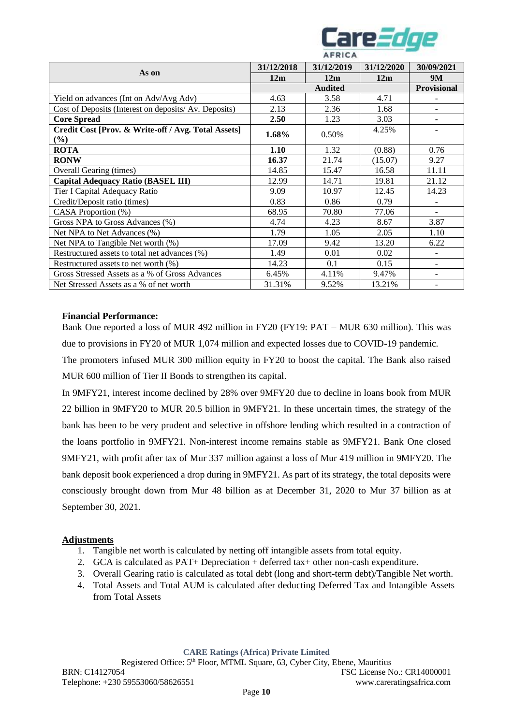

|                                                              | 31/12/2018 | 31/12/2019     | 31/12/2020 | 30/09/2021         |
|--------------------------------------------------------------|------------|----------------|------------|--------------------|
| As on                                                        | 12m        | 12m            | 12m        | <b>9M</b>          |
|                                                              |            | <b>Audited</b> |            | <b>Provisional</b> |
| Yield on advances (Int on Adv/Avg Adv)                       | 4.63       | 3.58           | 4.71       |                    |
| Cost of Deposits (Interest on deposits/ Av. Deposits)        | 2.13       | 2.36           | 1.68       |                    |
| <b>Core Spread</b>                                           | 2.50       | 1.23           | 3.03       |                    |
| Credit Cost [Prov. & Write-off / Avg. Total Assets]<br>1.68% |            | 0.50%          | 4.25%      |                    |
| $(\%)$                                                       |            |                |            |                    |
| <b>ROTA</b>                                                  | 1.10       | 1.32           | (0.88)     | 0.76               |
| <b>RONW</b>                                                  | 16.37      | 21.74          | (15.07)    | 9.27               |
| Overall Gearing (times)                                      | 14.85      | 15.47          | 16.58      | 11.11              |
| <b>Capital Adequacy Ratio (BASEL III)</b>                    | 12.99      | 14.71          | 19.81      | 21.12              |
| Tier I Capital Adequacy Ratio                                | 9.09       | 10.97          | 12.45      | 14.23              |
| Credit/Deposit ratio (times)                                 | 0.83       | 0.86           | 0.79       |                    |
| CASA Proportion (%)                                          | 68.95      | 70.80          | 77.06      |                    |
| Gross NPA to Gross Advances (%)                              | 4.74       | 4.23           | 8.67       | 3.87               |
| Net NPA to Net Advances (%)                                  | 1.79       | 1.05           | 2.05       | 1.10               |
| Net NPA to Tangible Net worth (%)                            | 17.09      | 9.42           | 13.20      | 6.22               |
| Restructured assets to total net advances (%)                | 1.49       | 0.01           | 0.02       |                    |
| Restructured assets to net worth $(\%)$                      | 14.23      | 0.1            | 0.15       |                    |
| Gross Stressed Assets as a % of Gross Advances               | 6.45%      | 4.11%          | 9.47%      |                    |
| Net Stressed Assets as a % of net worth                      | 31.31%     | 9.52%          | 13.21%     |                    |

#### **Financial Performance:**

Bank One reported a loss of MUR 492 million in FY20 (FY19: PAT – MUR 630 million). This was due to provisions in FY20 of MUR 1,074 million and expected losses due to COVID-19 pandemic.

The promoters infused MUR 300 million equity in FY20 to boost the capital. The Bank also raised MUR 600 million of Tier II Bonds to strengthen its capital.

In 9MFY21, interest income declined by 28% over 9MFY20 due to decline in loans book from MUR 22 billion in 9MFY20 to MUR 20.5 billion in 9MFY21. In these uncertain times, the strategy of the bank has been to be very prudent and selective in offshore lending which resulted in a contraction of the loans portfolio in 9MFY21. Non-interest income remains stable as 9MFY21. Bank One closed 9MFY21, with profit after tax of Mur 337 million against a loss of Mur 419 million in 9MFY20. The bank deposit book experienced a drop during in 9MFY21. As part of its strategy, the total deposits were consciously brought down from Mur 48 billion as at December 31, 2020 to Mur 37 billion as at September 30, 2021.

#### **Adjustments**

- 1. Tangible net worth is calculated by netting off intangible assets from total equity.
- 2. GCA is calculated as PAT+ Depreciation + deferred tax+ other non-cash expenditure.
- 3. Overall Gearing ratio is calculated as total debt (long and short-term debt)/Tangible Net worth.
- 4. Total Assets and Total AUM is calculated after deducting Deferred Tax and Intangible Assets from Total Assets